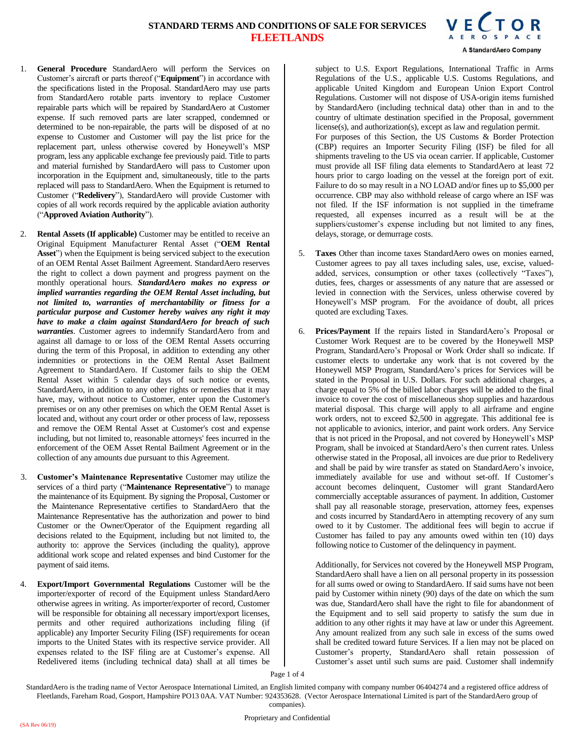

- 1. **General Procedure** StandardAero will perform the Services on Customer's aircraft or parts thereof ("**Equipment**") in accordance with the specifications listed in the Proposal. StandardAero may use parts from StandardAero rotable parts inventory to replace Customer repairable parts which will be repaired by StandardAero at Customer expense. If such removed parts are later scrapped, condemned or determined to be non-repairable, the parts will be disposed of at no expense to Customer and Customer will pay the list price for the replacement part, unless otherwise covered by Honeywell's MSP program, less any applicable exchange fee previously paid. Title to parts and material furnished by StandardAero will pass to Customer upon incorporation in the Equipment and, simultaneously, title to the parts replaced will pass to StandardAero. When the Equipment is returned to Customer ("**Redelivery**"), StandardAero will provide Customer with copies of all work records required by the applicable aviation authority ("**Approved Aviation Authority**").
- 2. **Rental Assets (If applicable)** Customer may be entitled to receive an Original Equipment Manufacturer Rental Asset ("**OEM Rental Asset**") when the Equipment is being serviced subject to the execution of an OEM Rental Asset Bailment Agreement. StandardAero reserves the right to collect a down payment and progress payment on the monthly operational hours. *StandardAero makes no express or implied warranties regarding the OEM Rental Asset including, but not limited to, warranties of merchantability or fitness for a particular purpose and Customer hereby waives any right it may have to make a claim against StandardAero for breach of such warranties*. Customer agrees to indemnify StandardAero from and against all damage to or loss of the OEM Rental Assets occurring during the term of this Proposal, in addition to extending any other indemnities or protections in the OEM Rental Asset Bailment Agreement to StandardAero. If Customer fails to ship the OEM Rental Asset within 5 calendar days of such notice or events, StandardAero, in addition to any other rights or remedies that it may have, may, without notice to Customer, enter upon the Customer's premises or on any other premises on which the OEM Rental Asset is located and, without any court order or other process of law, repossess and remove the OEM Rental Asset at Customer's cost and expense including, but not limited to, reasonable attorneys' fees incurred in the enforcement of the OEM Asset Rental Bailment Agreement or in the collection of any amounts due pursuant to this Agreement.
- 3. **Customer's Maintenance Representative** Customer may utilize the services of a third party ("**Maintenance Representative**") to manage the maintenance of its Equipment. By signing the Proposal, Customer or the Maintenance Representative certifies to StandardAero that the Maintenance Representative has the authorization and power to bind Customer or the Owner/Operator of the Equipment regarding all decisions related to the Equipment, including but not limited to, the authority to: approve the Services (including the quality), approve additional work scope and related expenses and bind Customer for the payment of said items.
- 4. **Export/Import Governmental Regulations** Customer will be the importer/exporter of record of the Equipment unless StandardAero otherwise agrees in writing. As importer/exporter of record, Customer will be responsible for obtaining all necessary import/export licenses, permits and other required authorizations including filing (if applicable) any Importer Security Filing (ISF) requirements for ocean imports to the United States with its respective service provider. All expenses related to the ISF filing are at Customer's expense. All Redelivered items (including technical data) shall at all times be

subject to U.S. Export Regulations, International Traffic in Arms Regulations of the U.S., applicable U.S. Customs Regulations, and applicable United Kingdom and European Union Export Control Regulations. Customer will not dispose of USA-origin items furnished by StandardAero (including technical data) other than in and to the country of ultimate destination specified in the Proposal, government license(s), and authorization(s), except as law and regulation permit. For purposes of this Section, the US Customs & Border Protection (CBP) requires an Importer Security Filing (ISF) be filed for all shipments traveling to the US via ocean carrier. If applicable, Customer must provide all ISF filing data elements to StandardAero at least 72 hours prior to cargo loading on the vessel at the foreign port of exit. Failure to do so may result in a NO LOAD and/or fines up to \$5,000 per occurrence. CBP may also withhold release of cargo where an ISF was not filed. If the ISF information is not supplied in the timeframe requested, all expenses incurred as a result will be at the suppliers/customer's expense including but not limited to any fines, delays, storage, or demurrage costs.

- 5. **Taxes** Other than income taxes StandardAero owes on monies earned, Customer agrees to pay all taxes including sales, use, excise, valuedadded, services, consumption or other taxes (collectively "Taxes"), duties, fees, charges or assessments of any nature that are assessed or levied in connection with the Services, unless otherwise covered by Honeywell's MSP program. For the avoidance of doubt, all prices quoted are excluding Taxes.
- 6. **Prices/Payment** If the repairs listed in StandardAero's Proposal or Customer Work Request are to be covered by the Honeywell MSP Program, StandardAero's Proposal or Work Order shall so indicate. If customer elects to undertake any work that is not covered by the Honeywell MSP Program, StandardAero's prices for Services will be stated in the Proposal in U.S. Dollars. For such additional charges, a charge equal to 5% of the billed labor charges will be added to the final invoice to cover the cost of miscellaneous shop supplies and hazardous material disposal. This charge will apply to all airframe and engine work orders, not to exceed \$2,500 in aggregate. This additional fee is not applicable to avionics, interior, and paint work orders. Any Service that is not priced in the Proposal, and not covered by Honeywell's MSP Program, shall be invoiced at StandardAero's then current rates. Unless otherwise stated in the Proposal, all invoices are due prior to Redelivery and shall be paid by wire transfer as stated on StandardAero's invoice, immediately available for use and without set-off. If Customer's account becomes delinquent, Customer will grant StandardAero commercially acceptable assurances of payment. In addition, Customer shall pay all reasonable storage, preservation, attorney fees, expenses and costs incurred by StandardAero in attempting recovery of any sum owed to it by Customer. The additional fees will begin to accrue if Customer has failed to pay any amounts owed within ten (10) days following notice to Customer of the delinquency in payment.

Additionally, for Services not covered by the Honeywell MSP Program, StandardAero shall have a lien on all personal property in its possession for all sums owed or owing to StandardAero. If said sums have not been paid by Customer within ninety (90) days of the date on which the sum was due, StandardAero shall have the right to file for abandonment of the Equipment and to sell said property to satisfy the sum due in addition to any other rights it may have at law or under this Agreement. Any amount realized from any such sale in excess of the sums owed shall be credited toward future Services. If a lien may not be placed on Customer's property, StandardAero shall retain possession of Customer's asset until such sums are paid. Customer shall indemnify

Page 1 of 4

StandardAero is the trading name of Vector Aerospace International Limited, an English limited company with company number 06404274 and a registered office address of Fleetlands, Fareham Road, Gosport, Hampshire PO13 0AA. VAT Number: 924353628. (Vector Aerospace International Limited is part of the StandardAero group of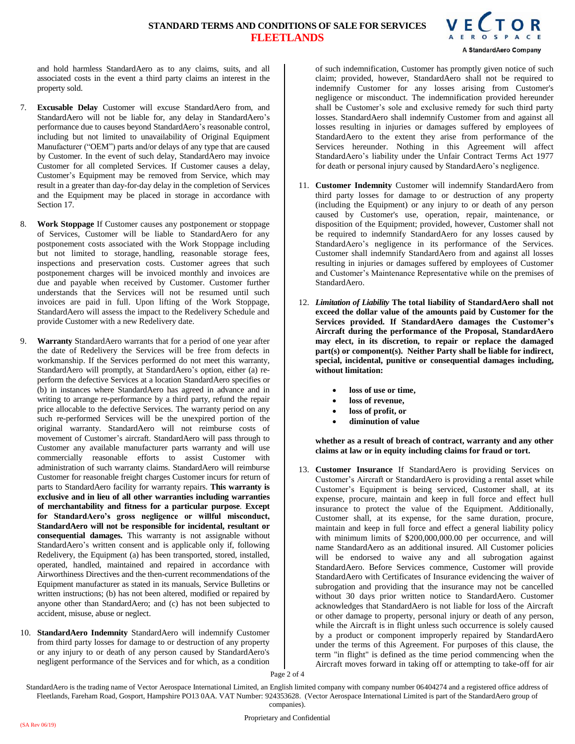

and hold harmless StandardAero as to any claims, suits, and all associated costs in the event a third party claims an interest in the property sold.

- 7. **Excusable Delay** Customer will excuse StandardAero from, and StandardAero will not be liable for, any delay in StandardAero's performance due to causes beyond StandardAero's reasonable control, including but not limited to unavailability of Original Equipment Manufacturer ("OEM") parts and/or delays of any type that are caused by Customer. In the event of such delay, StandardAero may invoice Customer for all completed Services. If Customer causes a delay, Customer's Equipment may be removed from Service, which may result in a greater than day-for-day delay in the completion of Services and the Equipment may be placed in storage in accordance with Section 17.
- 8. **Work Stoppage** If Customer causes any postponement or stoppage of Services, Customer will be liable to StandardAero for any postponement costs associated with the Work Stoppage including but not limited to storage, handling, reasonable storage fees, inspections and preservation costs. Customer agrees that such postponement charges will be invoiced monthly and invoices are due and payable when received by Customer. Customer further understands that the Services will not be resumed until such invoices are paid in full. Upon lifting of the Work Stoppage, StandardAero will assess the impact to the Redelivery Schedule and provide Customer with a new Redelivery date.
- 9. **Warranty** StandardAero warrants that for a period of one year after the date of Redelivery the Services will be free from defects in workmanship. If the Services performed do not meet this warranty, StandardAero will promptly, at StandardAero's option, either (a) reperform the defective Services at a location StandardAero specifies or (b) in instances where StandardAero has agreed in advance and in writing to arrange re-performance by a third party, refund the repair price allocable to the defective Services. The warranty period on any such re-performed Services will be the unexpired portion of the original warranty. StandardAero will not reimburse costs of movement of Customer's aircraft. StandardAero will pass through to Customer any available manufacturer parts warranty and will use commercially reasonable efforts to assist Customer with administration of such warranty claims. StandardAero will reimburse Customer for reasonable freight charges Customer incurs for return of parts to StandardAero facility for warranty repairs. **This warranty is exclusive and in lieu of all other warranties including warranties of merchantability and fitness for a particular purpose**. **Except for StandardAero's gross negligence or willful misconduct, StandardAero will not be responsible for incidental, resultant or consequential damages.** This warranty is not assignable without StandardAero's written consent and is applicable only if, following Redelivery, the Equipment (a) has been transported, stored, installed, operated, handled, maintained and repaired in accordance with Airworthiness Directives and the then-current recommendations of the Equipment manufacturer as stated in its manuals, Service Bulletins or written instructions; (b) has not been altered, modified or repaired by anyone other than StandardAero; and (c) has not been subjected to accident, misuse, abuse or neglect.
- 10. **StandardAero Indemnity** StandardAero will indemnify Customer from third party losses for damage to or destruction of any property or any injury to or death of any person caused by StandardAero's negligent performance of the Services and for which, as a condition

of such indemnification, Customer has promptly given notice of such claim; provided, however, StandardAero shall not be required to indemnify Customer for any losses arising from Customer's negligence or misconduct. The indemnification provided hereunder shall be Customer's sole and exclusive remedy for such third party losses. StandardAero shall indemnify Customer from and against all losses resulting in injuries or damages suffered by employees of StandardAero to the extent they arise from performance of the Services hereunder. Nothing in this Agreement will affect StandardAero's liability under the Unfair Contract Terms Act 1977 for death or personal injury caused by StandardAero's negligence.

- 11. **Customer Indemnity** Customer will indemnify StandardAero from third party losses for damage to or destruction of any property (including the Equipment) or any injury to or death of any person caused by Customer's use, operation, repair, maintenance, or disposition of the Equipment; provided, however, Customer shall not be required to indemnify StandardAero for any losses caused by StandardAero's negligence in its performance of the Services. Customer shall indemnify StandardAero from and against all losses resulting in injuries or damages suffered by employees of Customer and Customer's Maintenance Representative while on the premises of StandardAero.
- 12. *Limitation of Liability* **The total liability of StandardAero shall not exceed the dollar value of the amounts paid by Customer for the Services provided. If StandardAero damages the Customer's Aircraft during the performance of the Proposal, StandardAero may elect, in its discretion, to repair or replace the damaged part(s) or component(s). Neither Party shall be liable for indirect, special, incidental, punitive or consequential damages including, without limitation:**
	- **loss of use or time,**
	- **loss of revenue,**
	- **loss of profit, or**
	- **diminution of value**

**whether as a result of breach of contract, warranty and any other claims at law or in equity including claims for fraud or tort.** 

13. **Customer Insurance** If StandardAero is providing Services on Customer's Aircraft or StandardAero is providing a rental asset while Customer's Equipment is being serviced, Customer shall, at its expense, procure, maintain and keep in full force and effect hull insurance to protect the value of the Equipment. Additionally, Customer shall, at its expense, for the same duration, procure, maintain and keep in full force and effect a general liability policy with minimum limits of \$200,000,000.00 per occurrence, and will name StandardAero as an additional insured. All Customer policies will be endorsed to waive any and all subrogation against StandardAero. Before Services commence, Customer will provide StandardAero with Certificates of Insurance evidencing the waiver of subrogation and providing that the insurance may not be cancelled without 30 days prior written notice to StandardAero. Customer acknowledges that StandardAero is not liable for loss of the Aircraft or other damage to property, personal injury or death of any person, while the Aircraft is in flight unless such occurrence is solely caused by a product or component improperly repaired by StandardAero under the terms of this Agreement. For purposes of this clause, the term "in flight" is defined as the time period commencing when the Aircraft moves forward in taking off or attempting to take-off for air

Page 2 of 4

StandardAero is the trading name of Vector Aerospace International Limited, an English limited company with company number 06404274 and a registered office address of Fleetlands, Fareham Road, Gosport, Hampshire PO13 0AA. VAT Number: 924353628. (Vector Aerospace International Limited is part of the StandardAero group of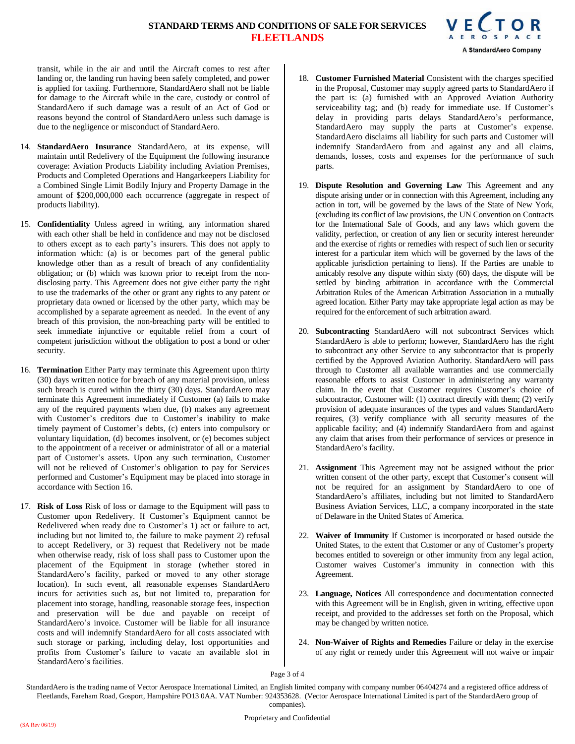

transit, while in the air and until the Aircraft comes to rest after landing or, the landing run having been safely completed, and power is applied for taxiing. Furthermore, StandardAero shall not be liable for damage to the Aircraft while in the care, custody or control of StandardAero if such damage was a result of an Act of God or reasons beyond the control of StandardAero unless such damage is due to the negligence or misconduct of StandardAero.

- 14. **StandardAero Insurance** StandardAero, at its expense, will maintain until Redelivery of the Equipment the following insurance coverage: Aviation Products Liability including Aviation Premises, Products and Completed Operations and Hangarkeepers Liability for a Combined Single Limit Bodily Injury and Property Damage in the amount of \$200,000,000 each occurrence (aggregate in respect of products liability).
- 15. **Confidentiality** Unless agreed in writing, any information shared with each other shall be held in confidence and may not be disclosed to others except as to each party's insurers. This does not apply to information which: (a) is or becomes part of the general public knowledge other than as a result of breach of any confidentiality obligation; or (b) which was known prior to receipt from the nondisclosing party. This Agreement does not give either party the right to use the trademarks of the other or grant any rights to any patent or proprietary data owned or licensed by the other party, which may be accomplished by a separate agreement as needed. In the event of any breach of this provision, the non-breaching party will be entitled to seek immediate injunctive or equitable relief from a court of competent jurisdiction without the obligation to post a bond or other security.
- 16. **Termination** Either Party may terminate this Agreement upon thirty (30) days written notice for breach of any material provision, unless such breach is cured within the thirty (30) days. StandardAero may terminate this Agreement immediately if Customer (a) fails to make any of the required payments when due, (b) makes any agreement with Customer's creditors due to Customer's inability to make timely payment of Customer's debts, (c) enters into compulsory or voluntary liquidation, (d) becomes insolvent, or (e) becomes subject to the appointment of a receiver or administrator of all or a material part of Customer's assets. Upon any such termination, Customer will not be relieved of Customer's obligation to pay for Services performed and Customer's Equipment may be placed into storage in accordance with Section 16.
- 17. **Risk of Loss** Risk of loss or damage to the Equipment will pass to Customer upon Redelivery. If Customer's Equipment cannot be Redelivered when ready due to Customer's 1) act or failure to act, including but not limited to, the failure to make payment 2) refusal to accept Redelivery, or 3) request that Redelivery not be made when otherwise ready, risk of loss shall pass to Customer upon the placement of the Equipment in storage (whether stored in StandardAero's facility, parked or moved to any other storage location). In such event, all reasonable expenses StandardAero incurs for activities such as, but not limited to, preparation for placement into storage, handling, reasonable storage fees, inspection and preservation will be due and payable on receipt of StandardAero's invoice. Customer will be liable for all insurance costs and will indemnify StandardAero for all costs associated with such storage or parking, including delay, lost opportunities and profits from Customer's failure to vacate an available slot in StandardAero's facilities.
- 18. **Customer Furnished Material** Consistent with the charges specified in the Proposal, Customer may supply agreed parts to StandardAero if the part is: (a) furnished with an Approved Aviation Authority serviceability tag; and (b) ready for immediate use. If Customer's delay in providing parts delays StandardAero's performance, StandardAero may supply the parts at Customer's expense. StandardAero disclaims all liability for such parts and Customer will indemnify StandardAero from and against any and all claims, demands, losses, costs and expenses for the performance of such parts.
- 19. **Dispute Resolution and Governing Law** This Agreement and any dispute arising under or in connection with this Agreement, including any action in tort, will be governed by the laws of the State of New York, (excluding its conflict of law provisions, the UN Convention on Contracts for the International Sale of Goods, and any laws which govern the validity, perfection, or creation of any lien or security interest hereunder and the exercise of rights or remedies with respect of such lien or security interest for a particular item which will be governed by the laws of the applicable jurisdiction pertaining to liens). If the Parties are unable to amicably resolve any dispute within sixty (60) days, the dispute will be settled by binding arbitration in accordance with the Commercial Arbitration Rules of the American Arbitration Association in a mutually agreed location. Either Party may take appropriate legal action as may be required for the enforcement of such arbitration award.
- 20. **Subcontracting** StandardAero will not subcontract Services which StandardAero is able to perform; however, StandardAero has the right to subcontract any other Service to any subcontractor that is properly certified by the Approved Aviation Authority. StandardAero will pass through to Customer all available warranties and use commercially reasonable efforts to assist Customer in administering any warranty claim. In the event that Customer requires Customer's choice of subcontractor, Customer will: (1) contract directly with them; (2) verify provision of adequate insurances of the types and values StandardAero requires, (3) verify compliance with all security measures of the applicable facility; and (4) indemnify StandardAero from and against any claim that arises from their performance of services or presence in StandardAero's facility.
- 21. **Assignment** This Agreement may not be assigned without the prior written consent of the other party, except that Customer's consent will not be required for an assignment by StandardAero to one of StandardAero's affiliates, including but not limited to StandardAero Business Aviation Services, LLC, a company incorporated in the state of Delaware in the United States of America.
- 22. **Waiver of Immunity** If Customer is incorporated or based outside the United States, to the extent that Customer or any of Customer's property becomes entitled to sovereign or other immunity from any legal action, Customer waives Customer's immunity in connection with this Agreement.
- 23. **Language, Notices** All correspondence and documentation connected with this Agreement will be in English, given in writing, effective upon receipt, and provided to the addresses set forth on the Proposal, which may be changed by written notice.
- 24. **Non-Waiver of Rights and Remedies** Failure or delay in the exercise of any right or remedy under this Agreement will not waive or impair

Page 3 of 4

StandardAero is the trading name of Vector Aerospace International Limited, an English limited company with company number 06404274 and a registered office address of Fleetlands, Fareham Road, Gosport, Hampshire PO13 0AA. VAT Number: 924353628. (Vector Aerospace International Limited is part of the StandardAero group of